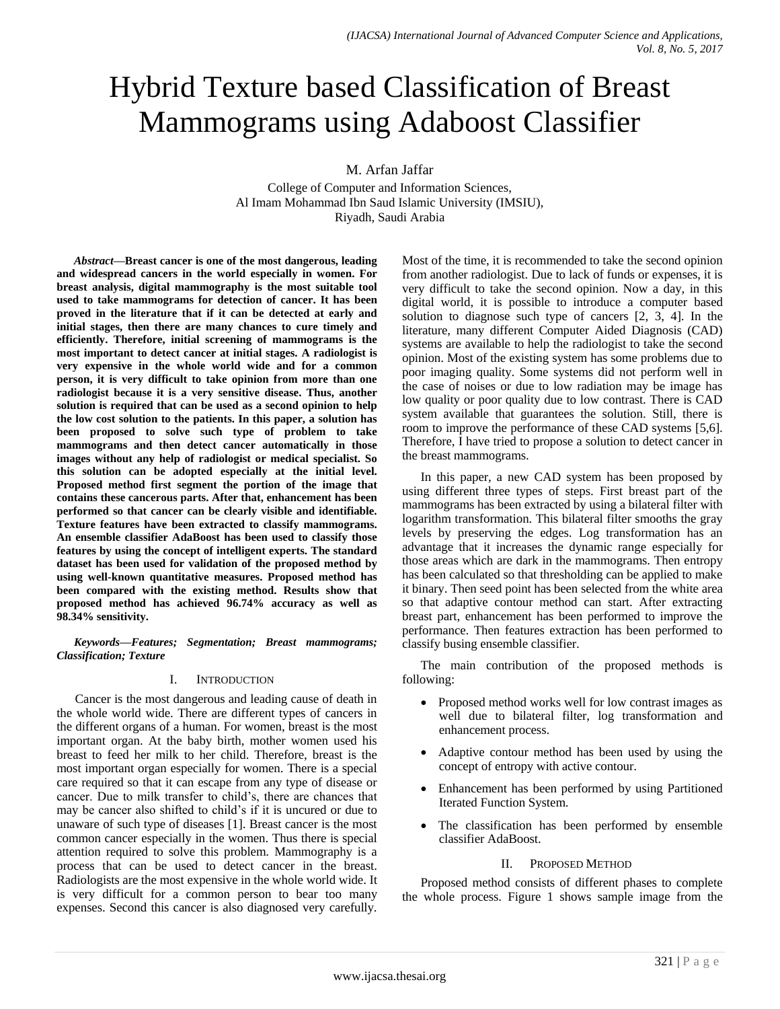# Hybrid Texture based Classification of Breast Mammograms using Adaboost Classifier

M. Arfan Jaffar

College of Computer and Information Sciences, Al Imam Mohammad Ibn Saud Islamic University (IMSIU), Riyadh, Saudi Arabia

*Abstract***—Breast cancer is one of the most dangerous, leading and widespread cancers in the world especially in women. For breast analysis, digital mammography is the most suitable tool used to take mammograms for detection of cancer. It has been proved in the literature that if it can be detected at early and initial stages, then there are many chances to cure timely and efficiently. Therefore, initial screening of mammograms is the most important to detect cancer at initial stages. A radiologist is very expensive in the whole world wide and for a common person, it is very difficult to take opinion from more than one radiologist because it is a very sensitive disease. Thus, another solution is required that can be used as a second opinion to help the low cost solution to the patients. In this paper, a solution has been proposed to solve such type of problem to take mammograms and then detect cancer automatically in those images without any help of radiologist or medical specialist. So this solution can be adopted especially at the initial level. Proposed method first segment the portion of the image that contains these cancerous parts. After that, enhancement has been performed so that cancer can be clearly visible and identifiable. Texture features have been extracted to classify mammograms. An ensemble classifier AdaBoost has been used to classify those features by using the concept of intelligent experts. The standard dataset has been used for validation of the proposed method by using well-known quantitative measures. Proposed method has been compared with the existing method. Results show that proposed method has achieved 96.74% accuracy as well as 98.34% sensitivity.**

*Keywords—Features; Segmentation; Breast mammograms; Classification; Texture*

# I. INTRODUCTION

Cancer is the most dangerous and leading cause of death in the whole world wide. There are different types of cancers in the different organs of a human. For women, breast is the most important organ. At the baby birth, mother women used his breast to feed her milk to her child. Therefore, breast is the most important organ especially for women. There is a special care required so that it can escape from any type of disease or cancer. Due to milk transfer to child's, there are chances that may be cancer also shifted to child's if it is uncured or due to unaware of such type of diseases [1]. Breast cancer is the most common cancer especially in the women. Thus there is special attention required to solve this problem. Mammography is a process that can be used to detect cancer in the breast. Radiologists are the most expensive in the whole world wide. It is very difficult for a common person to bear too many expenses. Second this cancer is also diagnosed very carefully.

Most of the time, it is recommended to take the second opinion from another radiologist. Due to lack of funds or expenses, it is very difficult to take the second opinion. Now a day, in this digital world, it is possible to introduce a computer based solution to diagnose such type of cancers [2, 3, 4]. In the literature, many different Computer Aided Diagnosis (CAD) systems are available to help the radiologist to take the second opinion. Most of the existing system has some problems due to poor imaging quality. Some systems did not perform well in the case of noises or due to low radiation may be image has low quality or poor quality due to low contrast. There is CAD system available that guarantees the solution. Still, there is room to improve the performance of these CAD systems [5,6]. Therefore, I have tried to propose a solution to detect cancer in the breast mammograms.

In this paper, a new CAD system has been proposed by using different three types of steps. First breast part of the mammograms has been extracted by using a bilateral filter with logarithm transformation. This bilateral filter smooths the gray levels by preserving the edges. Log transformation has an advantage that it increases the dynamic range especially for those areas which are dark in the mammograms. Then entropy has been calculated so that thresholding can be applied to make it binary. Then seed point has been selected from the white area so that adaptive contour method can start. After extracting breast part, enhancement has been performed to improve the performance. Then features extraction has been performed to classify busing ensemble classifier.

The main contribution of the proposed methods is following:

- Proposed method works well for low contrast images as well due to bilateral filter, log transformation and enhancement process.
- Adaptive contour method has been used by using the concept of entropy with active contour.
- Enhancement has been performed by using Partitioned Iterated Function System.
- The classification has been performed by ensemble classifier AdaBoost.

## II. PROPOSED METHOD

Proposed method consists of different phases to complete the whole process. Figure 1 shows sample image from the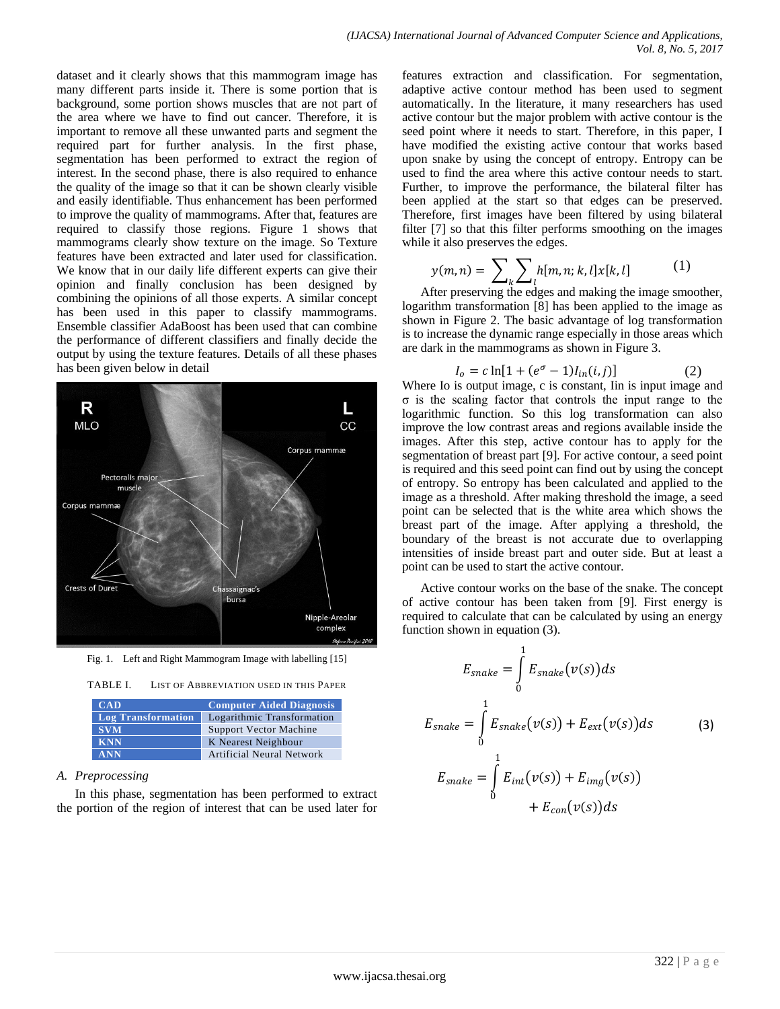dataset and it clearly shows that this mammogram image has many different parts inside it. There is some portion that is background, some portion shows muscles that are not part of the area where we have to find out cancer. Therefore, it is important to remove all these unwanted parts and segment the required part for further analysis. In the first phase, segmentation has been performed to extract the region of interest. In the second phase, there is also required to enhance the quality of the image so that it can be shown clearly visible and easily identifiable. Thus enhancement has been performed to improve the quality of mammograms. After that, features are required to classify those regions. Figure 1 shows that mammograms clearly show texture on the image. So Texture features have been extracted and later used for classification. We know that in our daily life different experts can give their opinion and finally conclusion has been designed by combining the opinions of all those experts. A similar concept has been used in this paper to classify mammograms. Ensemble classifier AdaBoost has been used that can combine the performance of different classifiers and finally decide the output by using the texture features. Details of all these phases has been given below in detail



Fig. 1. Left and Right Mammogram Image with labelling [15]



| CAD                       | <b>Computer Aided Diagnosis</b> |
|---------------------------|---------------------------------|
| <b>Log Transformation</b> | Logarithmic Transformation      |
| <b>SVM</b>                | <b>Support Vector Machine</b>   |
| <b>KNN</b>                | K Nearest Neighbour             |
| <b>ANN</b>                | Artificial Neural Network       |

# *A. Preprocessing*

In this phase, segmentation has been performed to extract the portion of the region of interest that can be used later for features extraction and classification. For segmentation, adaptive active contour method has been used to segment automatically. In the literature, it many researchers has used active contour but the major problem with active contour is the seed point where it needs to start. Therefore, in this paper, I have modified the existing active contour that works based upon snake by using the concept of entropy. Entropy can be used to find the area where this active contour needs to start. Further, to improve the performance, the bilateral filter has been applied at the start so that edges can be preserved. Therefore, first images have been filtered by using bilateral filter [7] so that this filter performs smoothing on the images while it also preserves the edges.

$$
y(m,n) = \sum_{k} \sum_{l} h[m,n;k,l] x[k,l] \tag{1}
$$

After preserving the edges and making the image smoother, logarithm transformation [8] has been applied to the image as shown in Figure 2. The basic advantage of log transformation is to increase the dynamic range especially in those areas which are dark in the mammograms as shown in Figure 3.

$$
I_o = c \ln[1 + (e^{\sigma} - 1)I_{in}(i, j)] \tag{2}
$$

Where Io is output image, c is constant, Iin is input image and σ is the scaling factor that controls the input range to the logarithmic function. So this log transformation can also improve the low contrast areas and regions available inside the images. After this step, active contour has to apply for the segmentation of breast part [9]. For active contour, a seed point is required and this seed point can find out by using the concept of entropy. So entropy has been calculated and applied to the image as a threshold. After making threshold the image, a seed point can be selected that is the white area which shows the breast part of the image. After applying a threshold, the boundary of the breast is not accurate due to overlapping intensities of inside breast part and outer side. But at least a point can be used to start the active contour.

Active contour works on the base of the snake. The concept of active contour has been taken from [9]. First energy is required to calculate that can be calculated by using an energy function shown in equation (3).

$$
E_{snake} = \int_{0}^{1} E_{snake}(v(s))ds
$$
  
\n
$$
E_{snake} = \int_{0}^{1} E_{snake}(v(s)) + E_{ext}(v(s))ds
$$
\n
$$
E_{snake} = \int_{0}^{1} E_{int}(v(s)) + E_{img}(v(s)) + E_{con}(v(s))ds
$$
\n(3)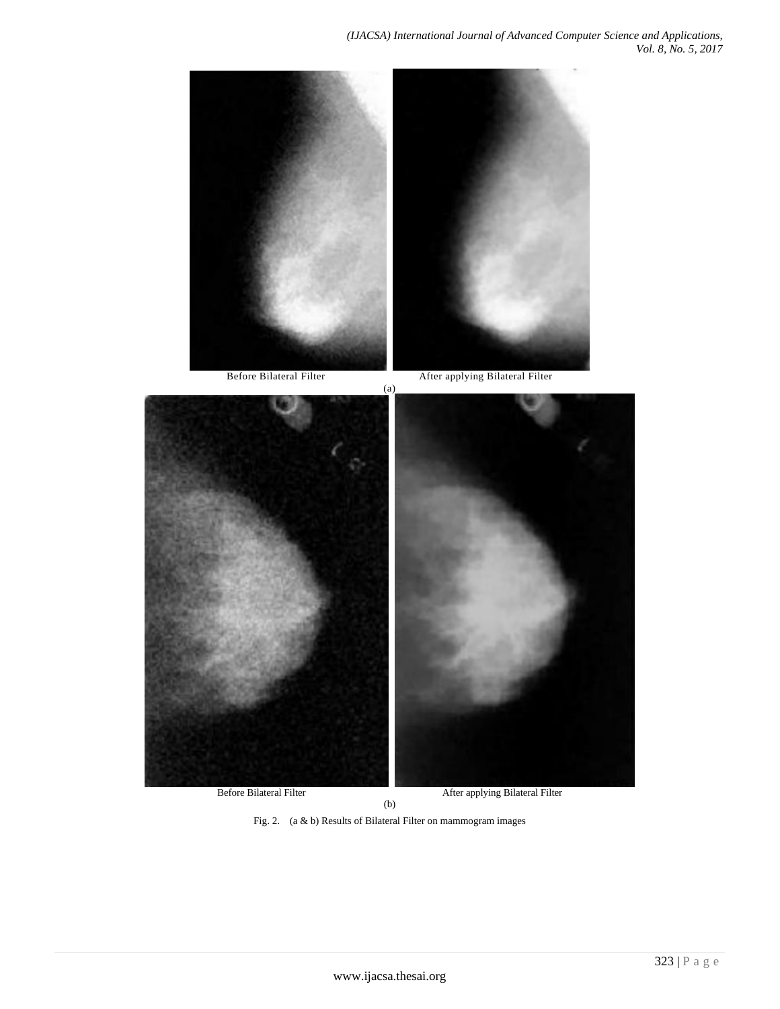

Fig. 2. (a & b) Results of Bilateral Filter on mammogram images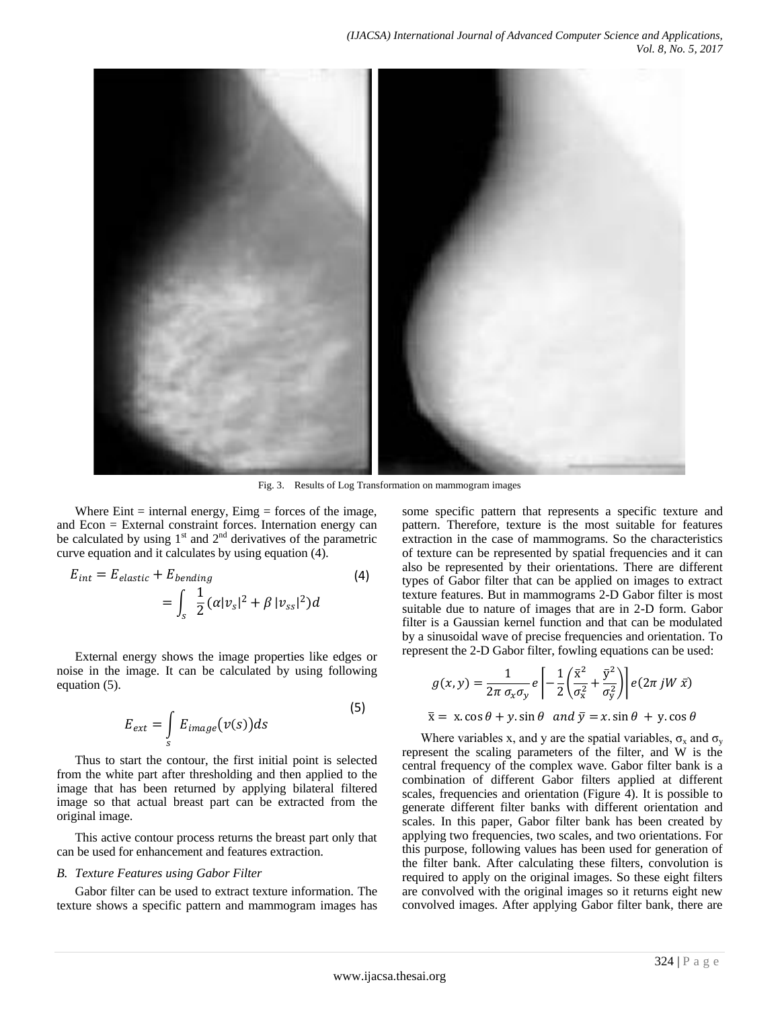

Fig. 3. Results of Log Transformation on mammogram images

Where  $E\text{int} = \text{internal energy}, E\text{img} = \text{forces of the image},$ and Econ = External constraint forces. Internation energy can be calculated by using  $1<sup>st</sup>$  and  $2<sup>nd</sup>$  derivatives of the parametric curve equation and it calculates by using equation (4).

$$
E_{int} = E_{elastic} + E_{bending}
$$
\n
$$
= \int_{S} \frac{1}{2} (\alpha |v_{s}|^{2} + \beta |v_{ss}|^{2}) d
$$
\n(4)

External energy shows the image properties like edges or noise in the image. It can be calculated by using following equation (5).

$$
E_{ext} = \int_{S} E_{image}(v(s))ds
$$
 (5)

Thus to start the contour, the first initial point is selected from the white part after thresholding and then applied to the image that has been returned by applying bilateral filtered image so that actual breast part can be extracted from the original image.

This active contour process returns the breast part only that can be used for enhancement and features extraction.

### *B. Texture Features using Gabor Filter*

Gabor filter can be used to extract texture information. The texture shows a specific pattern and mammogram images has some specific pattern that represents a specific texture and pattern. Therefore, texture is the most suitable for features extraction in the case of mammograms. So the characteristics of texture can be represented by spatial frequencies and it can also be represented by their orientations. There are different types of Gabor filter that can be applied on images to extract texture features. But in mammograms 2-D Gabor filter is most suitable due to nature of images that are in 2-D form. Gabor filter is a Gaussian kernel function and that can be modulated by a sinusoidal wave of precise frequencies and orientation. To represent the 2-D Gabor filter, fowling equations can be used:

$$
g(x,y) = \frac{1}{2\pi \sigma_x \sigma_y} e \left[ -\frac{1}{2} \left( \frac{\bar{x}^2}{\sigma_x^2} + \frac{\bar{y}^2}{\sigma_y^2} \right) \right] e(2\pi jW \,\bar{x})
$$

$$
\bar{x} = x \cdot \cos \theta + y \cdot \sin \theta
$$
 and  $\bar{y} = x \cdot \sin \theta + y \cdot \cos \theta$ 

Where variables x, and y are the spatial variables,  $\sigma_x$  and  $\sigma_y$ represent the scaling parameters of the filter, and W is the central frequency of the complex wave. Gabor filter bank is a combination of different Gabor filters applied at different scales, frequencies and orientation (Figure 4). It is possible to generate different filter banks with different orientation and scales. In this paper, Gabor filter bank has been created by applying two frequencies, two scales, and two orientations. For this purpose, following values has been used for generation of the filter bank. After calculating these filters, convolution is required to apply on the original images. So these eight filters are convolved with the original images so it returns eight new convolved images. After applying Gabor filter bank, there are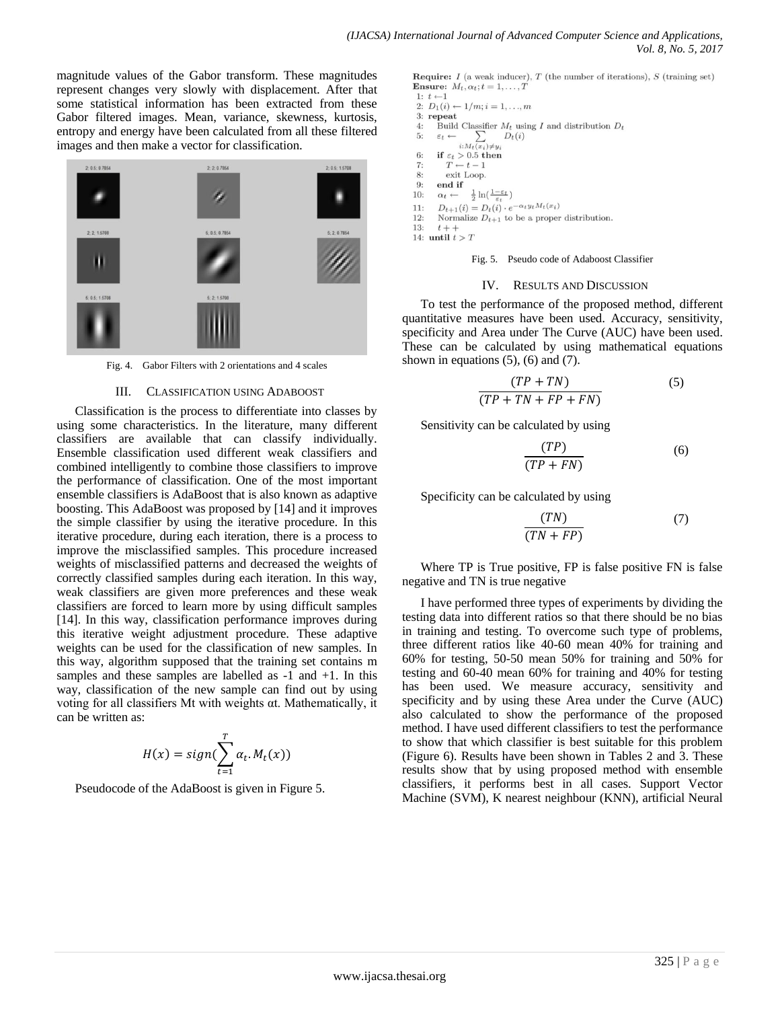magnitude values of the Gabor transform. These magnitudes represent changes very slowly with displacement. After that some statistical information has been extracted from these Gabor filtered images. Mean, variance, skewness, kurtosis, entropy and energy have been calculated from all these filtered images and then make a vector for classification.



Fig. 4. Gabor Filters with 2 orientations and 4 scales

#### III. CLASSIFICATION USING ADABOOST

Classification is the process to differentiate into classes by using some characteristics. In the literature, many different classifiers are available that can classify individually. Ensemble classification used different weak classifiers and combined intelligently to combine those classifiers to improve the performance of classification. One of the most important ensemble classifiers is AdaBoost that is also known as adaptive boosting. This AdaBoost was proposed by [14] and it improves the simple classifier by using the iterative procedure. In this iterative procedure, during each iteration, there is a process to improve the misclassified samples. This procedure increased weights of misclassified patterns and decreased the weights of correctly classified samples during each iteration. In this way, weak classifiers are given more preferences and these weak classifiers are forced to learn more by using difficult samples [14]. In this way, classification performance improves during this iterative weight adjustment procedure. These adaptive weights can be used for the classification of new samples. In this way, algorithm supposed that the training set contains m samples and these samples are labelled as -1 and +1. In this way, classification of the new sample can find out by using voting for all classifiers Mt with weights αt. Mathematically, it can be written as:

$$
H(x) = sign(\sum_{t=1}^{T} \alpha_t.M_t(x))
$$

Pseudocode of the AdaBoost is given in Figure 5.

Require:  $I$  (a weak inducer),  $T$  (the number of iterations),  $S$  (training set) Ensure:  $M_t, \alpha_t; t = 1, \ldots, T$  $1: t \leftarrow 1$ 

2:  $D_1(i) \leftarrow 1/m; i = 1, ..., m$ 

- $3:$  repeat Build Classifier  $M_t$  using I and distribution  $D_t$  $4:$
- $\leftarrow \sum_{i:M_t(x_i)\neq y_i} D_t(i)$ 5:  $\varepsilon_t \leftarrow$
- 
- if  $\varepsilon_t > 0.5$  then  $6:$  $T \leftarrow t-1$  $7:$
- 8: exit Loop.
- 9: end if
- $10:$  $\alpha_t \leftarrow \frac{1}{2} \ln(\frac{1-\varepsilon_t}{\varepsilon_t})$
- $11:$  $D_{t+1}(i) = D_t(i) \cdot e^{-\alpha_t y_t M_t(x_i)}$
- $12:$ Normalize  $D_{t+1}$  to be a proper distribution.

13:  $t + +$ 14: until  $t > T$ 

Fig. 5. Pseudo code of Adaboost Classifier

#### IV. RESULTS AND DISCUSSION

To test the performance of the proposed method, different quantitative measures have been used. Accuracy, sensitivity, specificity and Area under The Curve (AUC) have been used. These can be calculated by using mathematical equations shown in equations  $(5)$ ,  $(6)$  and  $(7)$ .

$$
\frac{(TP + TN)}{(TP + TN + FP + FN)}
$$
 (5)

Sensitivity can be calculated by using

$$
\frac{(TP)}{(TP + FN)}
$$
 (6)

Specificity can be calculated by using

$$
\frac{(TN)}{(TN + FP)}
$$
 (7)

Where TP is True positive, FP is false positive FN is false negative and TN is true negative

I have performed three types of experiments by dividing the testing data into different ratios so that there should be no bias in training and testing. To overcome such type of problems, three different ratios like 40-60 mean 40% for training and 60% for testing, 50-50 mean 50% for training and 50% for testing and 60-40 mean 60% for training and 40% for testing has been used. We measure accuracy, sensitivity and specificity and by using these Area under the Curve (AUC) also calculated to show the performance of the proposed method. I have used different classifiers to test the performance to show that which classifier is best suitable for this problem (Figure 6). Results have been shown in Tables 2 and 3. These results show that by using proposed method with ensemble classifiers, it performs best in all cases. Support Vector Machine (SVM), K nearest neighbour (KNN), artificial Neural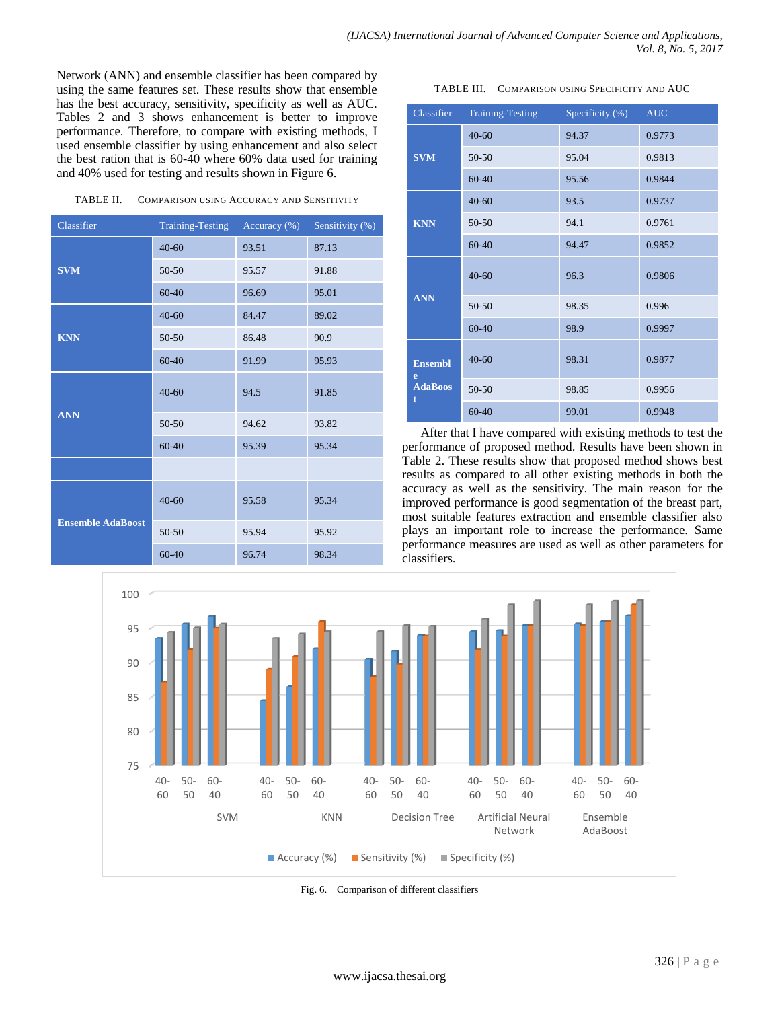Network (ANN) and ensemble classifier has been compared by using the same features set. These results show that ensemble has the best accuracy, sensitivity, specificity as well as AUC. Tables 2 and 3 shows enhancement is better to improve performance. Therefore, to compare with existing methods, I used ensemble classifier by using enhancement and also select the best ration that is 60-40 where 60% data used for training and 40% used for testing and results shown in Figure 6.

| TABLE II. | <b>COMPARISON USING ACCURACY AND SENSITIVITY</b> |  |
|-----------|--------------------------------------------------|--|
|           |                                                  |  |

| Classifier               | Training-Testing | Accuracy $(\%)$ | Sensitivity (%) |
|--------------------------|------------------|-----------------|-----------------|
|                          | $40 - 60$        | 93.51           | 87.13           |
| <b>SVM</b>               | 50-50            | 95.57           | 91.88           |
|                          | 60-40            | 96.69           | 95.01           |
|                          | $40 - 60$        | 84.47           | 89.02           |
| <b>KNN</b>               | 50-50            | 86.48           | 90.9            |
|                          | 60-40            | 91.99           | 95.93           |
|                          | $40 - 60$        | 94.5            | 91.85           |
| <b>ANN</b>               | 50-50            | 94.62           | 93.82           |
|                          | 60-40            | 95.39           | 95.34           |
|                          |                  |                 |                 |
| <b>Ensemble AdaBoost</b> | $40 - 60$        | 95.58           | 95.34           |
|                          | 50-50            | 95.94           | 95.92           |
|                          | 60-40            | 96.74           | 98.34           |

|  | TABLE III. | COMPARISON USING SPECIFICITY AND AUC |  |
|--|------------|--------------------------------------|--|
|--|------------|--------------------------------------|--|

| Classifier                                 | <b>Training-Testing</b> | Specificity $(\%)$ | <b>AUC</b> |
|--------------------------------------------|-------------------------|--------------------|------------|
| <b>SVM</b>                                 | $40 - 60$               | 94.37              | 0.9773     |
|                                            | 50-50                   | 95.04              | 0.9813     |
|                                            | $60 - 40$               | 95.56              | 0.9844     |
| <b>KNN</b>                                 | $40 - 60$               | 93.5               | 0.9737     |
|                                            | $50 - 50$               | 94.1               | 0.9761     |
|                                            | $60 - 40$               | 94.47              | 0.9852     |
| <b>ANN</b>                                 | $40 - 60$               | 96.3               | 0.9806     |
|                                            | 50-50                   | 98.35              | 0.996      |
|                                            | $60 - 40$               | 98.9               | 0.9997     |
| <b>Ensembl</b><br>e<br><b>AdaBoos</b><br>t | $40 - 60$               | 98.31              | 0.9877     |
|                                            | 50-50                   | 98.85              | 0.9956     |
|                                            | 60-40                   | 99.01              | 0.9948     |

After that I have compared with existing methods to test the performance of proposed method. Results have been shown in Table 2. These results show that proposed method shows best results as compared to all other existing methods in both the accuracy as well as the sensitivity. The main reason for the improved performance is good segmentation of the breast part, most suitable features extraction and ensemble classifier also plays an important role to increase the performance. Same performance measures are used as well as other parameters for classifiers.



Fig. 6. Comparison of different classifiers